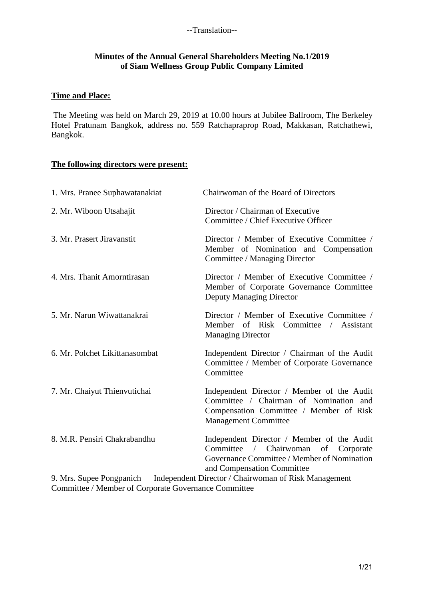#### **Minutes of the Annual General Shareholders Meeting No.1/2019 of Siam Wellness Group Public Company Limited**

#### **Time and Place:**

The Meeting was held on March 29, 2019 at 10.00 hours at Jubilee Ballroom, The Berkeley Hotel Pratunam Bangkok, address no. 559 Ratchapraprop Road, Makkasan, Ratchathewi, Bangkok.

# **The following directors were present:**

| 1. Mrs. Pranee Suphawatanakiat | Chairwoman of the Board of Directors                                                                                                                                                |
|--------------------------------|-------------------------------------------------------------------------------------------------------------------------------------------------------------------------------------|
| 2. Mr. Wiboon Utsahajit        | Director / Chairman of Executive<br>Committee / Chief Executive Officer                                                                                                             |
| 3. Mr. Prasert Jiravanstit     | Director / Member of Executive Committee /<br>Member of Nomination and Compensation<br>Committee / Managing Director                                                                |
| 4. Mrs. Thanit Amorntirasan    | Director / Member of Executive Committee /<br>Member of Corporate Governance Committee<br><b>Deputy Managing Director</b>                                                           |
| 5. Mr. Narun Wiwattanakrai     | Director / Member of Executive Committee /<br>Member of Risk Committee / Assistant<br><b>Managing Director</b>                                                                      |
| 6. Mr. Polchet Likittanasombat | Independent Director / Chairman of the Audit<br>Committee / Member of Corporate Governance<br>Committee                                                                             |
| 7. Mr. Chaiyut Thienvutichai   | Independent Director / Member of the Audit<br>Committee / Chairman of Nomination and<br>Compensation Committee / Member of Risk<br><b>Management Committee</b>                      |
| 8. M.R. Pensiri Chakrabandhu   | Independent Director / Member of the Audit<br>Chairwoman<br>Committee<br>$\sqrt{2}$<br>of<br>Corporate<br>Governance Committee / Member of Nomination<br>and Compensation Committee |
| 9. Mrs. Supee Pongpanich       | Independent Director / Chairwoman of Risk Management                                                                                                                                |

Committee / Member of Corporate Governance Committee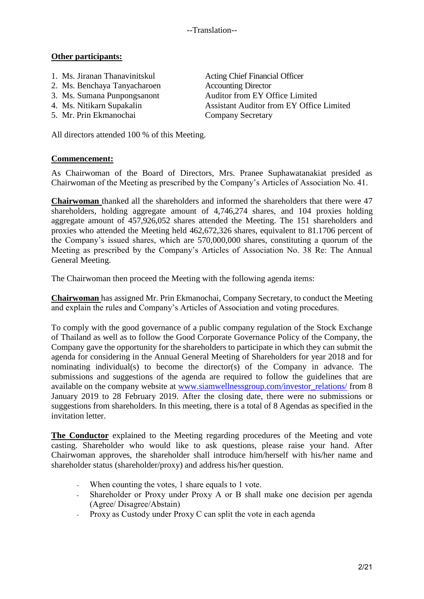--Translation--

## **Other participants:**

- 1. Ms. Jiranan Thanavinitskul Acting Chief Financial Officer
- 2. Ms. Benchaya Tanyacharoen Accounting Director
- 
- 
- 

All directors attended 100 % of this Meeting.

**Commencement:**

As Chairwoman of the Board of Directors, Mrs. Pranee Suphawatanakiat presided as Chairwoman of the Meeting as prescribed by the Company's Articles of Association No. 41.

**Chairwoman** thanked all the shareholders and informed the shareholders that there were 47 shareholders, holding aggregate amount of 4,746,274 shares, and 104 proxies holding aggregate amount of 457,926,052 shares attended the Meeting. The 151 shareholders and proxies who attended the Meeting held 462,672,326 shares, equivalent to 81.1706 percent of the Company's issued shares, which are 570,000,000 shares, constituting a quorum of the Meeting as prescribed by the Company's Articles of Association No. 38 Re: The Annual General Meeting.

The Chairwoman then proceed the Meeting with the following agenda items:

**Chairwoman** has assigned Mr. Prin Ekmanochai, Company Secretary, to conduct the Meeting and explain the rules and Company's Articles of Association and voting procedures.

To comply with the good governance of a public company regulation of the Stock Exchange of Thailand as well as to follow the Good Corporate Governance Policy of the Company, the Company gave the opportunity for the shareholders to participate in which they can submit the agenda for considering in the Annual General Meeting of Shareholders for year 2018 and for nominating individual(s) to become the director(s) of the Company in advance. The submissions and suggestions of the agenda are required to follow the guidelines that are available on the company website at [www.siamwellnessgroup.com/investor\\_relations/](http://www.siamwellnessgroup.com/investor_relations/) from 8 January 2019 to 28 February 2019. After the closing date, there were no submissions or suggestions from shareholders. In this meeting, there is a total of 8 Agendas as specified in the invitation letter.

**The Conductor** explained to the Meeting regarding procedures of the Meeting and vote casting. Shareholder who would like to ask questions, please raise your hand. After Chairwoman approves, the shareholder shall introduce him/herself with his/her name and shareholder status (shareholder/proxy) and address his/her question.

- When counting the votes, 1 share equals to 1 vote.
- Shareholder or Proxy under Proxy A or B shall make one decision per agenda (Agree/ Disagree/Abstain)
- Proxy as Custody under Proxy C can split the vote in each agenda

3. Ms. Sumana Punpongsanont Auditor from EY Office Limited 4. Ms. Nitikarn Supakalin Assistant Auditor from EY Office Limited 5. Mr. Prin Ekmanochai Company Secretary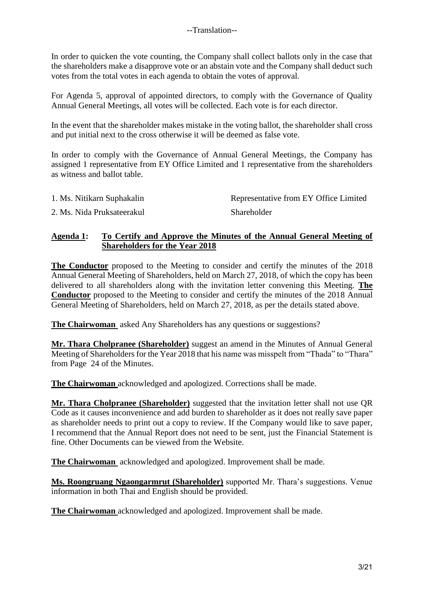In order to quicken the vote counting, the Company shall collect ballots only in the case that the shareholders make a disapprove vote or an abstain vote and the Company shall deduct such votes from the total votes in each agenda to obtain the votes of approval.

For Agenda 5, approval of appointed directors, to comply with the Governance of Quality Annual General Meetings, all votes will be collected. Each vote is for each director.

In the event that the shareholder makes mistake in the voting ballot, the shareholder shall cross and put initial next to the cross otherwise it will be deemed as false vote.

In order to comply with the Governance of Annual General Meetings, the Company has assigned 1 representative from EY Office Limited and 1 representative from the shareholders as witness and ballot table.

| 1. Ms. Nitikarn Suphakalin | Representative from EY Office Limited |
|----------------------------|---------------------------------------|
| 2. Ms. Nida Pruksateerakul | <b>Shareholder</b>                    |

#### **Agenda 1: To Certify and Approve the Minutes of the Annual General Meeting of Shareholders for the Year 2018**

**The Conductor** proposed to the Meeting to consider and certify the minutes of the 2018 Annual General Meeting of Shareholders, held on March 27, 2018, of which the copy has been delivered to all shareholders along with the invitation letter convening this Meeting. **The Conductor** proposed to the Meeting to consider and certify the minutes of the 2018 Annual General Meeting of Shareholders, held on March 27, 2018, as per the details stated above.

**The Chairwoman** asked Any Shareholders has any questions or suggestions?

**Mr. Thara Cholpranee (Shareholder)** suggest an amend in the Minutes of Annual General Meeting of Shareholders for the Year 2018 that his name was misspelt from "Thada" to "Thara" from Page 24 of the Minutes.

**The Chairwoman** acknowledged and apologized. Corrections shall be made.

**Mr. Thara Cholpranee (Shareholder)** suggested that the invitation letter shall not use QR Code as it causes inconvenience and add burden to shareholder as it does not really save paper as shareholder needs to print out a copy to review. If the Company would like to save paper, I recommend that the Annual Report does not need to be sent, just the Financial Statement is fine. Other Documents can be viewed from the Website.

**The Chairwoman** acknowledged and apologized. Improvement shall be made.

**Ms. Roongruang Ngaongarmrut (Shareholder)** supported Mr. Thara's suggestions. Venue information in both Thai and English should be provided.

**The Chairwoman** acknowledged and apologized. Improvement shall be made.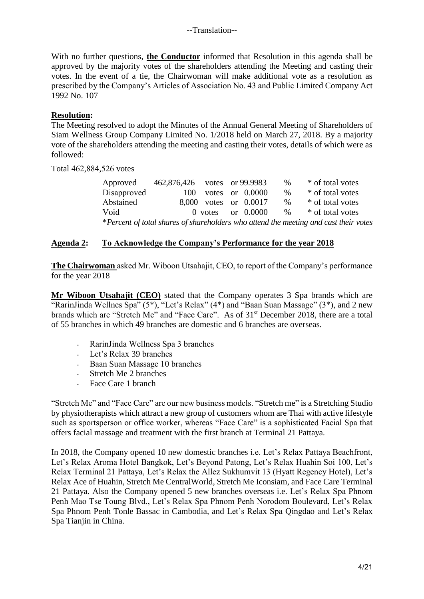With no further questions, **the Conductor** informed that Resolution in this agenda shall be approved by the majority votes of the shareholders attending the Meeting and casting their votes. In the event of a tie, the Chairwoman will make additional vote as a resolution as prescribed by the Company's Articles of Association No. 43 and Public Limited Company Act 1992 No. 107

## **Resolution:**

The Meeting resolved to adopt the Minutes of the Annual General Meeting of Shareholders of Siam Wellness Group Company Limited No. 1/2018 held on March 27, 2018. By a majority vote of the shareholders attending the meeting and casting their votes, details of which were as followed:

Total 462,884,526 votes

| Approved                                                                             | 462,876,426 votes or 99.9983 |  |  |                       | $\%$ | * of total votes |
|--------------------------------------------------------------------------------------|------------------------------|--|--|-----------------------|------|------------------|
| Disapproved                                                                          | 100                          |  |  | votes or $0.0000$     | $\%$ | * of total votes |
| Abstained                                                                            |                              |  |  | 8,000 votes or 0.0017 | %    | * of total votes |
| Void                                                                                 |                              |  |  | $0$ votes or $0.0000$ | $\%$ | * of total votes |
| *Percent of total shares of shareholders who attend the meeting and cast their votes |                              |  |  |                       |      |                  |

# **Agenda 2: To Acknowledge the Company's Performance for the year 2018**

**The Chairwoman** asked Mr. Wiboon Utsahajit, CEO, to report of the Company's performance for the year 2018

**Mr Wiboon Utsahajit (CEO)** stated that the Company operates 3 Spa brands which are "RarinJinda Wellnes Spa"  $(5^*)$ , "Let's Relax"  $(4^*)$  and "Baan Suan Massage"  $(3^*)$ , and 2 new brands which are "Stretch Me" and "Face Care". As of 31st December 2018, there are a total of 55 branches in which 49 branches are domestic and 6 branches are overseas.

- RarinJinda Wellness Spa 3 branches
- Let's Relax 39 branches
- Baan Suan Massage 10 branches
- Stretch Me 2 branches
- Face Care 1 branch

"Stretch Me" and "Face Care" are our new business models. "Stretch me" is a Stretching Studio by physiotherapists which attract a new group of customers whom are Thai with active lifestyle such as sportsperson or office worker, whereas "Face Care" is a sophisticated Facial Spa that offers facial massage and treatment with the first branch at Terminal 21 Pattaya.

In 2018, the Company opened 10 new domestic branches i.e. Let's Relax Pattaya Beachfront, Let's Relax Aroma Hotel Bangkok, Let's Beyond Patong, Let's Relax Huahin Soi 100, Let's Relax Terminal 21 Pattaya, Let's Relax the Allez Sukhumvit 13 (Hyatt Regency Hotel), Let's Relax Ace of Huahin, Stretch Me CentralWorld, Stretch Me Iconsiam, and Face Care Terminal 21 Pattaya. Also the Company opened 5 new branches overseas i.e. Let's Relax Spa Phnom Penh Mao Tse Toung Blvd., Let's Relax Spa Phnom Penh Norodom Boulevard, Let's Relax Spa Phnom Penh Tonle Bassac in Cambodia, and Let's Relax Spa Qingdao and Let's Relax Spa Tianjin in China.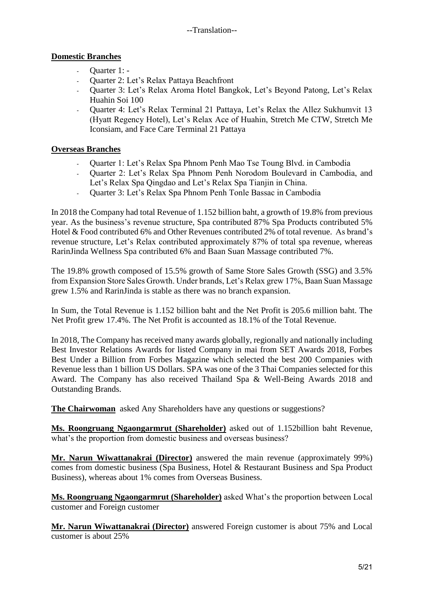# **Domestic Branches**

- Quarter 1: -
- Quarter 2: Let's Relax Pattaya Beachfront
- Quarter 3: Let's Relax Aroma Hotel Bangkok, Let's Beyond Patong, Let's Relax Huahin Soi 100
- Quarter 4: Let's Relax Terminal 21 Pattaya, Let's Relax the Allez Sukhumvit 13 (Hyatt Regency Hotel), Let's Relax Ace of Huahin, Stretch Me CTW, Stretch Me Iconsiam, and Face Care Terminal 21 Pattaya

# **Overseas Branches**

- Quarter 1: Let's Relax Spa Phnom Penh Mao Tse Toung Blvd. in Cambodia
- Quarter 2: Let's Relax Spa Phnom Penh Norodom Boulevard in Cambodia, and Let's Relax Spa Qingdao and Let's Relax Spa Tianjin in China.
- Quarter 3: Let's Relax Spa Phnom Penh Tonle Bassac in Cambodia

In 2018 the Company had total Revenue of 1.152 billion baht, a growth of 19.8% from previous year. As the business's revenue structure, Spa contributed 87% Spa Products contributed 5% Hotel & Food contributed 6% and Other Revenues contributed 2% of total revenue. As brand's revenue structure, Let's Relax contributed approximately 87% of total spa revenue, whereas RarinJinda Wellness Spa contributed 6% and Baan Suan Massage contributed 7%.

The 19.8% growth composed of 15.5% growth of Same Store Sales Growth (SSG) and 3.5% from Expansion Store Sales Growth. Under brands, Let's Relax grew 17%, Baan Suan Massage grew 1.5% and RarinJinda is stable as there was no branch expansion.

In Sum, the Total Revenue is 1.152 billion baht and the Net Profit is 205.6 million baht. The Net Profit grew 17.4%. The Net Profit is accounted as 18.1% of the Total Revenue.

In 2018, The Company has received many awards globally, regionally and nationally including Best Investor Relations Awards for listed Company in mai from SET Awards 2018, Forbes Best Under a Billion from Forbes Magazine which selected the best 200 Companies with Revenue less than 1 billion US Dollars. SPA was one of the 3 Thai Companies selected for this Award. The Company has also received Thailand Spa & Well-Being Awards 2018 and Outstanding Brands.

**The Chairwoman** asked Any Shareholders have any questions or suggestions?

**Ms. Roongruang Ngaongarmrut (Shareholder)** asked out of 1.152billion baht Revenue, what's the proportion from domestic business and overseas business?

**Mr. Narun Wiwattanakrai (Director)** answered the main revenue (approximately 99%) comes from domestic business (Spa Business, Hotel & Restaurant Business and Spa Product Business), whereas about 1% comes from Overseas Business.

**Ms. Roongruang Ngaongarmrut (Shareholder)** asked What's the proportion between Local customer and Foreign customer

**Mr. Narun Wiwattanakrai (Director)** answered Foreign customer is about 75% and Local customer is about 25%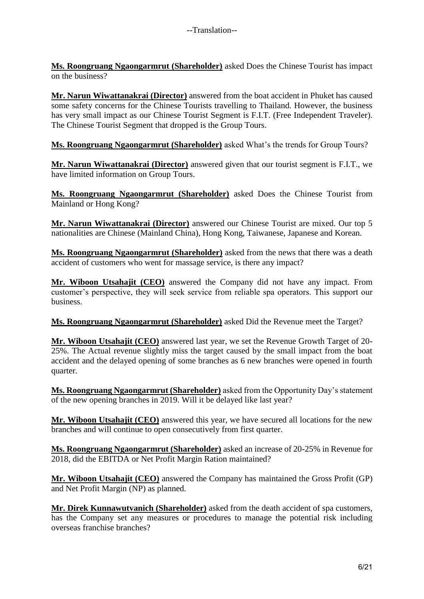**Ms. Roongruang Ngaongarmrut (Shareholder)** asked Does the Chinese Tourist has impact on the business?

**Mr. Narun Wiwattanakrai (Director)** answered from the boat accident in Phuket has caused some safety concerns for the Chinese Tourists travelling to Thailand. However, the business has very small impact as our Chinese Tourist Segment is F.I.T. (Free Independent Traveler). The Chinese Tourist Segment that dropped is the Group Tours.

**Ms. Roongruang Ngaongarmrut (Shareholder)** asked What's the trends for Group Tours?

**Mr. Narun Wiwattanakrai (Director)** answered given that our tourist segment is F.I.T., we have limited information on Group Tours.

**Ms. Roongruang Ngaongarmrut (Shareholder)** asked Does the Chinese Tourist from Mainland or Hong Kong?

**Mr. Narun Wiwattanakrai (Director)** answered our Chinese Tourist are mixed. Our top 5 nationalities are Chinese (Mainland China), Hong Kong, Taiwanese, Japanese and Korean.

**Ms. Roongruang Ngaongarmrut (Shareholder)** asked from the news that there was a death accident of customers who went for massage service, is there any impact?

**Mr. Wiboon Utsahajit (CEO)** answered the Company did not have any impact. From customer's perspective, they will seek service from reliable spa operators. This support our business.

**Ms. Roongruang Ngaongarmrut (Shareholder)** asked Did the Revenue meet the Target?

**Mr. Wiboon Utsahajit (CEO)** answered last year, we set the Revenue Growth Target of 20- 25%. The Actual revenue slightly miss the target caused by the small impact from the boat accident and the delayed opening of some branches as 6 new branches were opened in fourth quarter.

**Ms. Roongruang Ngaongarmrut (Shareholder)** asked from the Opportunity Day's statement of the new opening branches in 2019. Will it be delayed like last year?

**Mr. Wiboon Utsahajit (CEO)** answered this year, we have secured all locations for the new branches and will continue to open consecutively from first quarter.

**Ms. Roongruang Ngaongarmrut (Shareholder)** asked an increase of 20-25% in Revenue for 2018, did the EBITDA or Net Profit Margin Ration maintained?

**Mr. Wiboon Utsahajit (CEO)** answered the Company has maintained the Gross Profit (GP) and Net Profit Margin (NP) as planned.

**Mr. Direk Kunnawutvanich (Shareholder)** asked from the death accident of spa customers, has the Company set any measures or procedures to manage the potential risk including overseas franchise branches?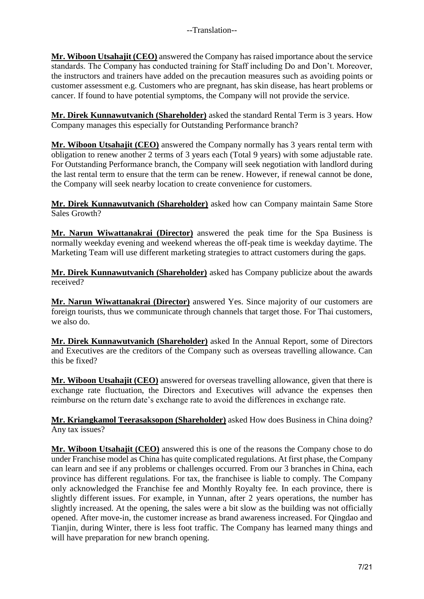**Mr. Wiboon Utsahajit (CEO)** answered the Company has raised importance about the service standards. The Company has conducted training for Staff including Do and Don't. Moreover, the instructors and trainers have added on the precaution measures such as avoiding points or customer assessment e.g. Customers who are pregnant, has skin disease, has heart problems or cancer. If found to have potential symptoms, the Company will not provide the service.

**Mr. Direk Kunnawutvanich (Shareholder)** asked the standard Rental Term is 3 years. How Company manages this especially for Outstanding Performance branch?

**Mr. Wiboon Utsahajit (CEO)** answered the Company normally has 3 years rental term with obligation to renew another 2 terms of 3 years each (Total 9 years) with some adjustable rate. For Outstanding Performance branch, the Company will seek negotiation with landlord during the last rental term to ensure that the term can be renew. However, if renewal cannot be done, the Company will seek nearby location to create convenience for customers.

**Mr. Direk Kunnawutvanich (Shareholder)** asked how can Company maintain Same Store Sales Growth?

**Mr. Narun Wiwattanakrai (Director)** answered the peak time for the Spa Business is normally weekday evening and weekend whereas the off-peak time is weekday daytime. The Marketing Team will use different marketing strategies to attract customers during the gaps.

**Mr. Direk Kunnawutvanich (Shareholder)** asked has Company publicize about the awards received?

**Mr. Narun Wiwattanakrai (Director)** answered Yes. Since majority of our customers are foreign tourists, thus we communicate through channels that target those. For Thai customers, we also do.

**Mr. Direk Kunnawutvanich (Shareholder)** asked In the Annual Report, some of Directors and Executives are the creditors of the Company such as overseas travelling allowance. Can this be fixed?

**Mr. Wiboon Utsahajit (CEO)** answered for overseas travelling allowance, given that there is exchange rate fluctuation, the Directors and Executives will advance the expenses then reimburse on the return date's exchange rate to avoid the differences in exchange rate.

**Mr. Kriangkamol Teerasaksopon (Shareholder)** asked How does Business in China doing? Any tax issues?

**Mr. Wiboon Utsahajit (CEO)** answered this is one of the reasons the Company chose to do under Franchise model as China has quite complicated regulations. At first phase, the Company can learn and see if any problems or challenges occurred. From our 3 branches in China, each province has different regulations. For tax, the franchisee is liable to comply. The Company only acknowledged the Franchise fee and Monthly Royalty fee. In each province, there is slightly different issues. For example, in Yunnan, after 2 years operations, the number has slightly increased. At the opening, the sales were a bit slow as the building was not officially opened. After move-in, the customer increase as brand awareness increased. For Qingdao and Tianjin, during Winter, there is less foot traffic. The Company has learned many things and will have preparation for new branch opening.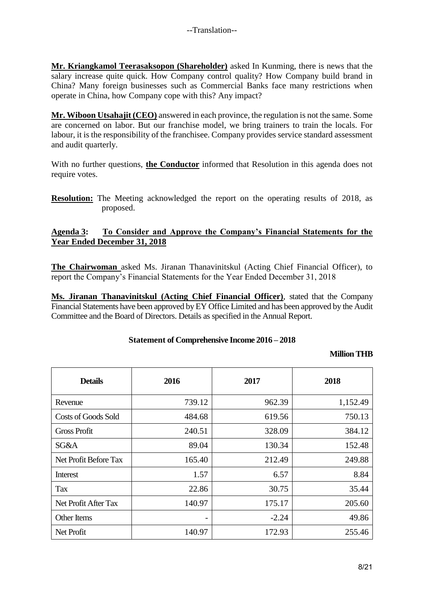**Mr. Kriangkamol Teerasaksopon (Shareholder)** asked In Kunming, there is news that the salary increase quite quick. How Company control quality? How Company build brand in China? Many foreign businesses such as Commercial Banks face many restrictions when operate in China, how Company cope with this? Any impact?

**Mr. Wiboon Utsahajit (CEO)** answered in each province, the regulation is not the same. Some are concerned on labor. But our franchise model, we bring trainers to train the locals. For labour, it is the responsibility of the franchisee. Company provides service standard assessment and audit quarterly.

With no further questions, **the Conductor** informed that Resolution in this agenda does not require votes.

**Resolution:** The Meeting acknowledged the report on the operating results of 2018, as proposed.

## **Agenda 3: To Consider and Approve the Company's Financial Statements for the Year Ended December 31, 2018**

**The Chairwoman** asked Ms. Jiranan Thanavinitskul (Acting Chief Financial Officer), to report the Company's Financial Statements for the Year Ended December 31, 2018

**Ms. Jiranan Thanavinitskul (Acting Chief Financial Officer)**, stated that the Company Financial Statements have been approved by EY Office Limited and has been approved by the Audit Committee and the Board of Directors. Details as specified in the Annual Report.

## **Statement of Comprehensive Income 2016 – 2018**

## **Million THB**

| <b>Details</b>             | 2016   | 2017    | 2018     |
|----------------------------|--------|---------|----------|
| Revenue                    | 739.12 | 962.39  | 1,152.49 |
| <b>Costs of Goods Sold</b> | 484.68 | 619.56  | 750.13   |
| <b>Gross Profit</b>        | 240.51 | 328.09  | 384.12   |
| SG&A                       | 89.04  | 130.34  | 152.48   |
| Net Profit Before Tax      | 165.40 | 212.49  | 249.88   |
| Interest                   | 1.57   | 6.57    | 8.84     |
| <b>Tax</b>                 | 22.86  | 30.75   | 35.44    |
| Net Profit After Tax       | 140.97 | 175.17  | 205.60   |
| Other Items                | -      | $-2.24$ | 49.86    |
| Net Profit                 | 140.97 | 172.93  | 255.46   |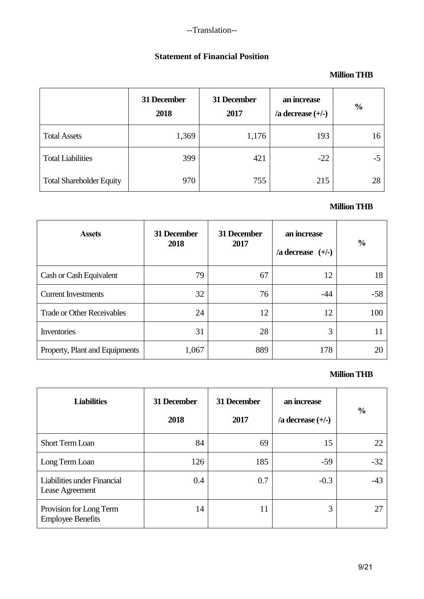--Translation--

# **Statement of Financial Position**

# **Million THB**

|                                 | 31 December<br>2018 | 31 December<br>2017 | an increase<br>$/$ a decrease $(+/-)$ | $\frac{0}{0}$ |
|---------------------------------|---------------------|---------------------|---------------------------------------|---------------|
| <b>Total Assets</b>             | 1,369               | 1,176               | 193                                   | 16            |
| <b>Total Liabilities</b>        | 399                 | 421                 | $-22$                                 | $-5$          |
| <b>Total Shareholder Equity</b> | 970                 | 755                 | 215                                   | 28            |

# **Million THB**

| <b>Assets</b>                     | 31 December<br>2018 | 31 December<br>2017 | an increase<br>$/$ a decrease $(+/-)$ | $\%$  |
|-----------------------------------|---------------------|---------------------|---------------------------------------|-------|
| Cash or Cash Equivalent           | 79                  | 67                  | 12                                    | 18    |
| <b>Current Investments</b>        | 32                  | 76                  | $-44$                                 | $-58$ |
| <b>Trade or Other Receivables</b> | 24                  | 12                  | 12                                    | 100   |
| Inventories                       | 31                  | 28                  | 3                                     |       |
| Property, Plant and Equipments    | 1,067               | 889                 | 178                                   | 20    |

## **Million THB**

| <b>Liabilities</b>                                  | 31 December<br>2018 | 31 December<br>2017 | an increase<br>/a decrease $(+/-)$ | $\frac{6}{9}$ |
|-----------------------------------------------------|---------------------|---------------------|------------------------------------|---------------|
| <b>Short Term Loan</b>                              | 84                  | 69                  | 15                                 | 22            |
| Long Term Loan                                      | 126                 | 185                 | $-59$                              | $-32$         |
| Liabilities under Financial<br>Lease Agreement      | 0.4                 | 0.7                 | $-0.3$                             | $-43$         |
| Provision for Long Term<br><b>Employee Benefits</b> | 14                  | 11                  | 3                                  | 27            |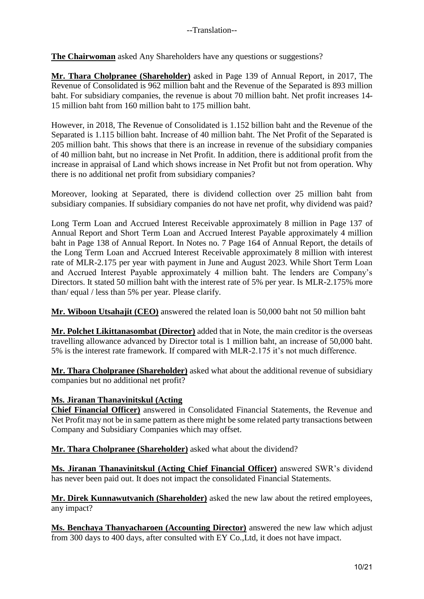**The Chairwoman** asked Any Shareholders have any questions or suggestions?

**Mr. Thara Cholpranee (Shareholder)** asked in Page 139 of Annual Report, in 2017, The Revenue of Consolidated is 962 million baht and the Revenue of the Separated is 893 million baht. For subsidiary companies, the revenue is about 70 million baht. Net profit increases 14- 15 million baht from 160 million baht to 175 million baht.

However, in 2018, The Revenue of Consolidated is 1.152 billion baht and the Revenue of the Separated is 1.115 billion baht. Increase of 40 million baht. The Net Profit of the Separated is 205 million baht. This shows that there is an increase in revenue of the subsidiary companies of 40 million baht, but no increase in Net Profit. In addition, there is additional profit from the increase in appraisal of Land which shows increase in Net Profit but not from operation. Why there is no additional net profit from subsidiary companies?

Moreover, looking at Separated, there is dividend collection over 25 million baht from subsidiary companies. If subsidiary companies do not have net profit, why dividend was paid?

Long Term Loan and Accrued Interest Receivable approximately 8 million in Page 137 of Annual Report and Short Term Loan and Accrued Interest Payable approximately 4 million baht in Page 138 of Annual Report. In Notes no. 7 Page 164 of Annual Report, the details of the Long Term Loan and Accrued Interest Receivable approximately 8 million with interest rate of MLR-2.175 per year with payment in June and August 2023. While Short Term Loan and Accrued Interest Payable approximately 4 million baht. The lenders are Company's Directors. It stated 50 million baht with the interest rate of 5% per year. Is MLR-2.175% more than/ equal / less than 5% per year. Please clarify.

**Mr. Wiboon Utsahajit (CEO)** answered the related loan is 50,000 baht not 50 million baht

**Mr. Polchet Likittanasombat (Director)** added that in Note, the main creditor is the overseas travelling allowance advanced by Director total is 1 million baht, an increase of 50,000 baht. 5% is the interest rate framework. If compared with MLR-2.175 it's not much difference.

**Mr. Thara Cholpranee (Shareholder)** asked what about the additional revenue of subsidiary companies but no additional net profit?

## **Ms. Jiranan Thanavinitskul (Acting**

**Chief Financial Officer)** answered in Consolidated Financial Statements, the Revenue and Net Profit may not be in same pattern as there might be some related party transactions between Company and Subsidiary Companies which may offset.

**Mr. Thara Cholpranee (Shareholder)** asked what about the dividend?

**Ms. Jiranan Thanavinitskul (Acting Chief Financial Officer)** answered SWR's dividend has never been paid out. It does not impact the consolidated Financial Statements.

**Mr. Direk Kunnawutvanich (Shareholder)** asked the new law about the retired employees, any impact?

**Ms. Benchaya Thanyacharoen (Accounting Director)** answered the new law which adjust from 300 days to 400 days, after consulted with EY Co.,Ltd, it does not have impact.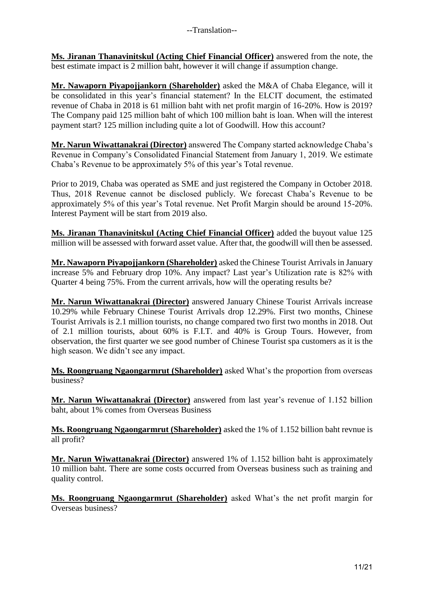**Ms. Jiranan Thanavinitskul (Acting Chief Financial Officer)** answered from the note, the best estimate impact is 2 million baht, however it will change if assumption change.

**Mr. Nawaporn Piyapojjankorn (Shareholder)** asked the M&A of Chaba Elegance, will it be consolidated in this year's financial statement? In the ELCIT document, the estimated revenue of Chaba in 2018 is 61 million baht with net profit margin of 16-20%. How is 2019? The Company paid 125 million baht of which 100 million baht is loan. When will the interest payment start? 125 million including quite a lot of Goodwill. How this account?

**Mr. Narun Wiwattanakrai (Director)** answered The Company started acknowledge Chaba's Revenue in Company's Consolidated Financial Statement from January 1, 2019. We estimate Chaba's Revenue to be approximately 5% of this year's Total revenue.

Prior to 2019, Chaba was operated as SME and just registered the Company in October 2018. Thus, 2018 Revenue cannot be disclosed publicly. We forecast Chaba's Revenue to be approximately 5% of this year's Total revenue. Net Profit Margin should be around 15-20%. Interest Payment will be start from 2019 also.

**Ms. Jiranan Thanavinitskul (Acting Chief Financial Officer)** added the buyout value 125 million will be assessed with forward asset value. After that, the goodwill will then be assessed.

**Mr. Nawaporn Piyapojjankorn (Shareholder)** asked the Chinese Tourist Arrivals in January increase 5% and February drop 10%. Any impact? Last year's Utilization rate is 82% with Quarter 4 being 75%. From the current arrivals, how will the operating results be?

**Mr. Narun Wiwattanakrai (Director)** answered January Chinese Tourist Arrivals increase 10.29% while February Chinese Tourist Arrivals drop 12.29%. First two months, Chinese Tourist Arrivals is 2.1 million tourists, no change compared two first two months in 2018. Out of 2.1 million tourists, about 60% is F.I.T. and 40% is Group Tours. However, from observation, the first quarter we see good number of Chinese Tourist spa customers as it is the high season. We didn't see any impact.

**Ms. Roongruang Ngaongarmrut (Shareholder)** asked What's the proportion from overseas business?

**Mr. Narun Wiwattanakrai (Director)** answered from last year's revenue of 1.152 billion baht, about 1% comes from Overseas Business

**Ms. Roongruang Ngaongarmrut (Shareholder)** asked the 1% of 1.152 billion baht revnue is all profit?

**Mr. Narun Wiwattanakrai (Director)** answered 1% of 1.152 billion baht is approximately 10 million baht. There are some costs occurred from Overseas business such as training and quality control.

**Ms. Roongruang Ngaongarmrut (Shareholder)** asked What's the net profit margin for Overseas business?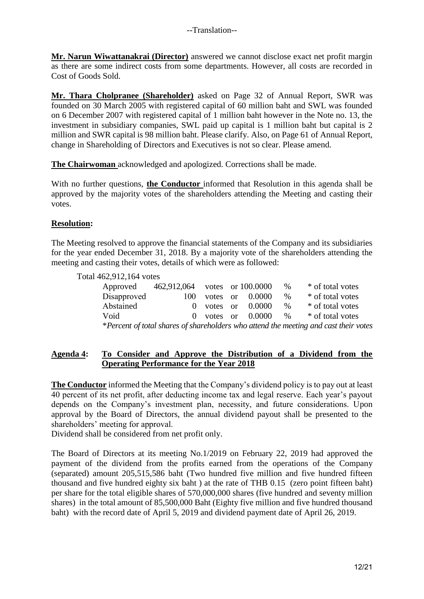**Mr. Narun Wiwattanakrai (Director)** answered we cannot disclose exact net profit margin as there are some indirect costs from some departments. However, all costs are recorded in Cost of Goods Sold.

**Mr. Thara Cholpranee (Shareholder)** asked on Page 32 of Annual Report, SWR was founded on 30 March 2005 with registered capital of 60 million baht and SWL was founded on 6 December 2007 with registered capital of 1 million baht however in the Note no. 13, the investment in subsidiary companies, SWL paid up capital is 1 million baht but capital is 2 million and SWR capital is 98 million baht. Please clarify. Also, on Page 61 of Annual Report, change in Shareholding of Directors and Executives is not so clear. Please amend.

**The Chairwoman** acknowledged and apologized. Corrections shall be made.

With no further questions, **the Conductor** informed that Resolution in this agenda shall be approved by the majority votes of the shareholders attending the Meeting and casting their votes.

## **Resolution:**

The Meeting resolved to approve the financial statements of the Company and its subsidiaries for the year ended December 31, 2018. By a majority vote of the shareholders attending the meeting and casting their votes, details of which were as followed:

Total 462,912,164 votes

| Approved    | 462,912,064 votes or 100.0000 |  |                       | %    | * of total votes                                                                     |
|-------------|-------------------------------|--|-----------------------|------|--------------------------------------------------------------------------------------|
| Disapproved | 100                           |  | votes or $0.0000$     | $\%$ | * of total votes                                                                     |
| Abstained   |                               |  | $0$ votes or $0.0000$ | $\%$ | * of total votes                                                                     |
| Void        |                               |  | $0$ votes or $0.0000$ | $\%$ | * of total votes                                                                     |
|             |                               |  |                       |      | *Percent of total shares of shareholders who attend the meeting and cast their votes |

## **Agenda 4: To Consider and Approve the Distribution of a Dividend from the Operating Performance for the Year 2018**

**The Conductor** informed the Meeting that the Company's dividend policy is to pay out at least 40 percent of its net profit, after deducting income tax and legal reserve. Each year's payout depends on the Company's investment plan, necessity, and future considerations. Upon approval by the Board of Directors, the annual dividend payout shall be presented to the shareholders' meeting for approval.

Dividend shall be considered from net profit only.

The Board of Directors at its meeting No.1/2019 on February 22, 2019 had approved the payment of the dividend from the profits earned from the operations of the Company (separated) amount 205,515,586 baht (Two hundred five million and five hundred fifteen thousand and five hundred eighty six baht ) at the rate of THB 0.15 (zero point fifteen baht) per share for the total eligible shares of 570,000,000 shares (five hundred and seventy million shares) in the total amount of 85,500,000 Baht (Eighty five million and five hundred thousand baht) with the record date of April 5, 2019 and dividend payment date of April 26, 2019.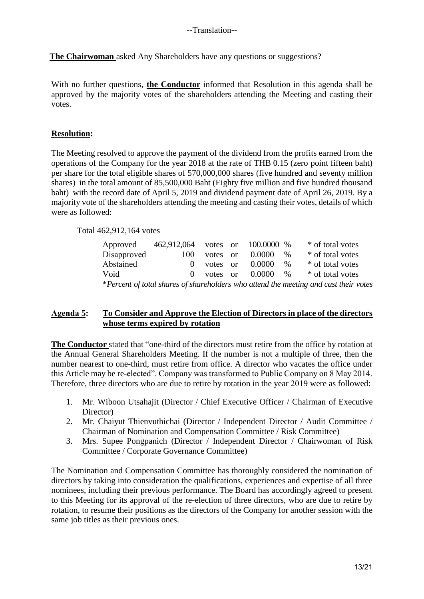**The Chairwoman** asked Any Shareholders have any questions or suggestions?

With no further questions, **the Conductor** informed that Resolution in this agenda shall be approved by the majority votes of the shareholders attending the Meeting and casting their votes.

## **Resolution:**

The Meeting resolved to approve the payment of the dividend from the profits earned from the operations of the Company for the year 2018 at the rate of THB 0.15 (zero point fifteen baht) per share for the total eligible shares of 570,000,000 shares (five hundred and seventy million shares) in the total amount of 85,500,000 Baht (Eighty five million and five hundred thousand baht) with the record date of April 5, 2019 and dividend payment date of April 26, 2019. By a majority vote of the shareholders attending the meeting and casting their votes, details of which were as followed:

Total 462,912,164 votes

| Approved                                                                             | 462,912,064 votes or |              |  | 100.0000 % |      | * of total votes |
|--------------------------------------------------------------------------------------|----------------------|--------------|--|------------|------|------------------|
| Disapproved                                                                          | 100                  | votes or     |  | 0.0000     | $\%$ | * of total votes |
| Abstained                                                                            | $\Omega$             | votes or     |  | 0.0000     | $\%$ | * of total votes |
| Void                                                                                 |                      | $0$ votes or |  | 0.0000     | $\%$ | * of total votes |
| *Percent of total shares of shareholders who attend the meeting and cast their votes |                      |              |  |            |      |                  |

## **Agenda 5: To Consider and Approve the Election of Directors in place of the directors whose terms expired by rotation**

**The Conductor** stated that "one-third of the directors must retire from the office by rotation at the Annual General Shareholders Meeting. If the number is not a multiple of three, then the number nearest to one-third, must retire from office. A director who vacates the office under this Article may be re-elected". Company was transformed to Public Company on 8 May 2014. Therefore, three directors who are due to retire by rotation in the year 2019 were as followed:

- 1. Mr. Wiboon Utsahajit (Director / Chief Executive Officer / Chairman of Executive Director)
- 2. Mr. Chaiyut Thienvuthichai (Director / Independent Director / Audit Committee / Chairman of Nomination and Compensation Committee / Risk Committee)
- 3. Mrs. Supee Pongpanich (Director / Independent Director / Chairwoman of Risk Committee / Corporate Governance Committee)

The Nomination and Compensation Committee has thoroughly considered the nomination of directors by taking into consideration the qualifications, experiences and expertise of all three nominees, including their previous performance. The Board has accordingly agreed to present to this Meeting for its approval of the re-election of three directors, who are due to retire by rotation, to resume their positions as the directors of the Company for another session with the same job titles as their previous ones.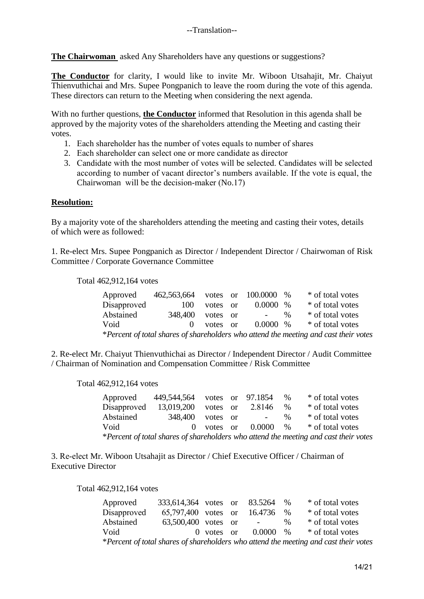**The Chairwoman** asked Any Shareholders have any questions or suggestions?

**The Conductor** for clarity, I would like to invite Mr. Wiboon Utsahajit, Mr. Chaiyut Thienvuthichai and Mrs. Supee Pongpanich to leave the room during the vote of this agenda. These directors can return to the Meeting when considering the next agenda.

With no further questions, **the Conductor** informed that Resolution in this agenda shall be approved by the majority votes of the shareholders attending the Meeting and casting their votes.

- 1. Each shareholder has the number of votes equals to number of shares
- 2. Each shareholder can select one or more candidate as director
- 3. Candidate with the most number of votes will be selected. Candidates will be selected according to number of vacant director's numbers available. If the vote is equal, the Chairwoman will be the decision-maker (No.17)

#### **Resolution:**

By a majority vote of the shareholders attending the meeting and casting their votes, details of which were as followed:

1. Re-elect Mrs. Supee Pongpanich as Director / Independent Director / Chairwoman of Risk Committee / Corporate Governance Committee

Total 462,912,164 votes

| Approved                                                                             | 462,563,664 votes or 100.0000 |          |  |             | $\%$ | * of total votes |
|--------------------------------------------------------------------------------------|-------------------------------|----------|--|-------------|------|------------------|
| Disapproved                                                                          | 100                           | votes or |  | $0.0000~\%$ |      | * of total votes |
| Abstained                                                                            | 348,400                       | votes or |  | $\sim 100$  | $\%$ | * of total votes |
| Void                                                                                 | $\Omega$                      | votes or |  | $0.0000\%$  |      | * of total votes |
| *Percent of total shares of shareholders who attend the meeting and cast their votes |                               |          |  |             |      |                  |

2. Re-elect Mr. Chaiyut Thienvuthichai as Director / Independent Director / Audit Committee / Chairman of Nomination and Compensation Committee / Risk Committee

Total 462,912,164 votes

| Approved    | 449,544,564 |              | votes or 97.1854 | $\%$ | * of total votes                                                                     |
|-------------|-------------|--------------|------------------|------|--------------------------------------------------------------------------------------|
| Disapproved | 13,019,200  | votes or     | 2.8146           | $\%$ | * of total votes                                                                     |
| Abstained   | 348,400     | votes or     | $\sim 100$       | $\%$ | * of total votes                                                                     |
| Void        |             | $0$ votes or | $0.0000 \t%$     |      | * of total votes                                                                     |
|             |             |              |                  |      | *Percent of total shares of shareholders who attend the meeting and cast their votes |

3. Re-elect Mr. Wiboon Utsahajit as Director / Chief Executive Officer / Chairman of Executive Director

Total 462,912,164 votes

| Approved                                                                             | 333,614,364 votes or 83.5264 % |              |  |                                |      | * of total votes |
|--------------------------------------------------------------------------------------|--------------------------------|--------------|--|--------------------------------|------|------------------|
| Disapproved                                                                          | 65,797,400 votes or            |              |  | 16.4736 %                      |      | * of total votes |
| Abstained                                                                            | 63,500,400 votes or            |              |  | <b>Contract Contract State</b> | $\%$ | * of total votes |
| Void                                                                                 |                                | $0$ votes or |  | $0.0000 \approx 0$             |      | * of total votes |
| *Percent of total shares of shareholders who attend the meeting and cast their votes |                                |              |  |                                |      |                  |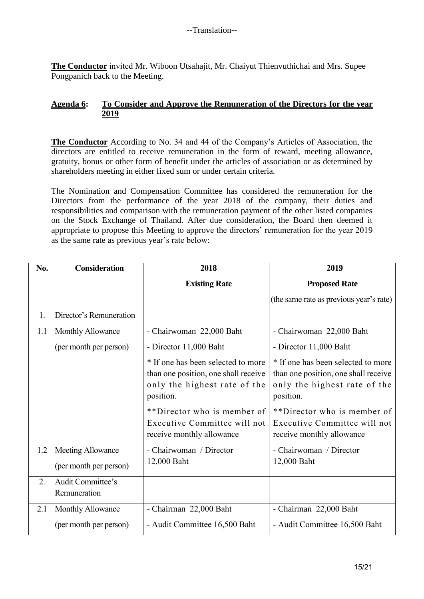**The Conductor** invited Mr. Wiboon Utsahajit, Mr. Chaiyut Thienvuthichai and Mrs. Supee Pongpanich back to the Meeting.

## **Agenda 6: To Consider and Approve the Remuneration of the Directors for the year 2019**

**The Conductor** According to No. 34 and 44 of the Company's Articles of Association, the directors are entitled to receive remuneration in the form of reward, meeting allowance, gratuity, bonus or other form of benefit under the articles of association or as determined by shareholders meeting in either fixed sum or under certain criteria.

The Nomination and Compensation Committee has considered the remuneration for the Directors from the performance of the year 2018 of the company, their duties and responsibilities and comparison with the remuneration payment of the other listed companies on the Stock Exchange of Thailand. After due consideration, the Board then deemed it appropriate to propose this Meeting to approve the directors' remuneration for the year 2019 as the same rate as previous year's rate below:

| No. | <b>Consideration</b>                               | 2018                                                                                                                    | 2019                                                                                                                    |  |
|-----|----------------------------------------------------|-------------------------------------------------------------------------------------------------------------------------|-------------------------------------------------------------------------------------------------------------------------|--|
|     |                                                    | <b>Existing Rate</b>                                                                                                    | <b>Proposed Rate</b>                                                                                                    |  |
|     |                                                    |                                                                                                                         | (the same rate as previous year's rate)                                                                                 |  |
| 1.  | Director's Remuneration                            |                                                                                                                         |                                                                                                                         |  |
| 1.1 | Monthly Allowance                                  | - Chairwoman 22,000 Baht                                                                                                | - Chairwoman 22,000 Baht                                                                                                |  |
|     | (per month per person)                             | - Director 11,000 Baht                                                                                                  | - Director 11,000 Baht                                                                                                  |  |
|     |                                                    | * If one has been selected to more<br>than one position, one shall receive<br>only the highest rate of the<br>position. | * If one has been selected to more<br>than one position, one shall receive<br>only the highest rate of the<br>position. |  |
|     |                                                    | **Director who is member of<br>Executive Committee will not<br>receive monthly allowance                                | **Director who is member of<br>Executive Committee will not<br>receive monthly allowance                                |  |
| 1.2 | <b>Meeting Allowance</b><br>(per month per person) | - Chairwoman / Director<br>12,000 Baht                                                                                  | - Chairwoman / Director<br>12,000 Baht                                                                                  |  |
| 2.  | Audit Committee's<br>Remuneration                  |                                                                                                                         |                                                                                                                         |  |
| 2.1 | Monthly Allowance                                  | - Chairman 22,000 Baht                                                                                                  | - Chairman 22,000 Baht                                                                                                  |  |
|     | (per month per person)                             | - Audit Committee 16,500 Baht                                                                                           | - Audit Committee 16,500 Baht                                                                                           |  |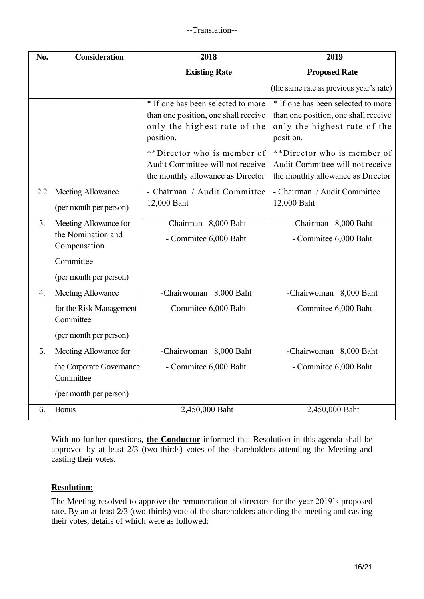| No. | <b>Consideration</b>                                        | 2018                                                                                                                    | 2019                                                                                                                    |  |  |
|-----|-------------------------------------------------------------|-------------------------------------------------------------------------------------------------------------------------|-------------------------------------------------------------------------------------------------------------------------|--|--|
|     |                                                             | <b>Existing Rate</b>                                                                                                    | <b>Proposed Rate</b>                                                                                                    |  |  |
|     |                                                             |                                                                                                                         | (the same rate as previous year's rate)                                                                                 |  |  |
|     |                                                             | * If one has been selected to more<br>than one position, one shall receive<br>only the highest rate of the<br>position. | * If one has been selected to more<br>than one position, one shall receive<br>only the highest rate of the<br>position. |  |  |
|     |                                                             | **Director who is member of<br>Audit Committee will not receive<br>the monthly allowance as Director                    | **Director who is member of<br>Audit Committee will not receive<br>the monthly allowance as Director                    |  |  |
| 2.2 | Meeting Allowance<br>(per month per person)                 | - Chairman / Audit Committee<br>12,000 Baht                                                                             | - Chairman / Audit Committee<br>12,000 Baht                                                                             |  |  |
| 3.  | Meeting Allowance for<br>the Nomination and<br>Compensation | -Chairman 8,000 Baht<br>- Commitee 6,000 Baht                                                                           | -Chairman 8,000 Baht<br>- Commitee 6,000 Baht                                                                           |  |  |
|     | Committee                                                   |                                                                                                                         |                                                                                                                         |  |  |
|     | (per month per person)                                      |                                                                                                                         |                                                                                                                         |  |  |
| 4.  | Meeting Allowance                                           | -Chairwoman 8,000 Baht                                                                                                  | -Chairwoman 8,000 Baht                                                                                                  |  |  |
|     | for the Risk Management<br>Committee                        | - Commitee 6,000 Baht                                                                                                   | - Commitee 6,000 Baht                                                                                                   |  |  |
|     | (per month per person)                                      |                                                                                                                         |                                                                                                                         |  |  |
| 5.  | Meeting Allowance for                                       | -Chairwoman 8,000 Baht                                                                                                  | -Chairwoman 8,000 Baht                                                                                                  |  |  |
|     | the Corporate Governance<br>Committee                       | - Commitee 6,000 Baht                                                                                                   | - Commitee 6,000 Baht                                                                                                   |  |  |
|     | (per month per person)                                      |                                                                                                                         |                                                                                                                         |  |  |
| 6.  | <b>Bonus</b>                                                | 2,450,000 Baht                                                                                                          | 2,450,000 Baht                                                                                                          |  |  |

With no further questions, **the Conductor** informed that Resolution in this agenda shall be approved by at least 2/3 (two-thirds) votes of the shareholders attending the Meeting and casting their votes.

# **Resolution:**

The Meeting resolved to approve the remuneration of directors for the year 2019's proposed rate. By an at least 2/3 (two-thirds) vote of the shareholders attending the meeting and casting their votes, details of which were as followed: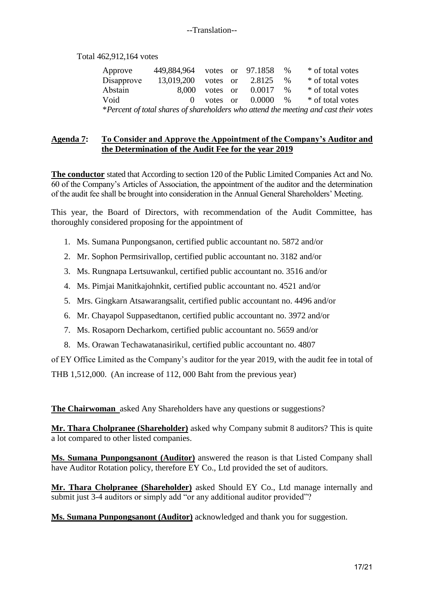#### --Translation--

Total 462,912,164 votes

| Approve                                                                              | 449,884,964 votes or 97.1858 |          |  |                       | $\%$ | * of total votes |
|--------------------------------------------------------------------------------------|------------------------------|----------|--|-----------------------|------|------------------|
| Disapprove                                                                           | 13,019,200                   | votes or |  | 2.8125                | $\%$ | * of total votes |
| Abstain                                                                              | 8.000                        | votes or |  | 0.0017                | $\%$ | * of total votes |
| Void                                                                                 |                              |          |  | 0 votes or $0.0000\%$ |      | * of total votes |
| *Percent of total shares of shareholders who attend the meeting and cast their votes |                              |          |  |                       |      |                  |

## **Agenda 7: To Consider and Approve the Appointment of the Company's Auditor and the Determination of the Audit Fee for the year 2019**

**The conductor** stated that According to section 120 of the Public Limited Companies Act and No. 60 of the Company's Articles of Association, the appointment of the auditor and the determination of the audit fee shall be brought into consideration in the Annual General Shareholders' Meeting.

This year, the Board of Directors, with recommendation of the Audit Committee, has thoroughly considered proposing for the appointment of

- 1. Ms. Sumana Punpongsanon, certified public accountant no. 5872 and/or
- 2. Mr. Sophon Permsirivallop, certified public accountant no. 3182 and/or
- 3. Ms. Rungnapa Lertsuwankul, certified public accountant no. 3516 and/or
- 4. Ms. Pimjai Manitkajohnkit, certified public accountant no. 4521 and/or
- 5. Mrs. Gingkarn Atsawarangsalit, certified public accountant no. 4496 and/or
- 6. Mr. Chayapol Suppasedtanon, certified public accountant no. 3972 and/or
- 7. Ms. Rosaporn Decharkom, certified public accountant no. 5659 and/or
- 8. Ms. Orawan Techawatanasirikul, certified public accountant no. 4807

of EY Office Limited as the Company's auditor for the year 2019, with the audit fee in total of THB 1,512,000. (An increase of 112, 000 Baht from the previous year)

**The Chairwoman** asked Any Shareholders have any questions or suggestions?

**Mr. Thara Cholpranee (Shareholder)** asked why Company submit 8 auditors? This is quite a lot compared to other listed companies.

**Ms. Sumana Punpongsanont (Auditor)** answered the reason is that Listed Company shall have Auditor Rotation policy, therefore EY Co., Ltd provided the set of auditors.

**Mr. Thara Cholpranee (Shareholder)** asked Should EY Co., Ltd manage internally and submit just 3-4 auditors or simply add "or any additional auditor provided"?

**Ms. Sumana Punpongsanont (Auditor)** acknowledged and thank you for suggestion.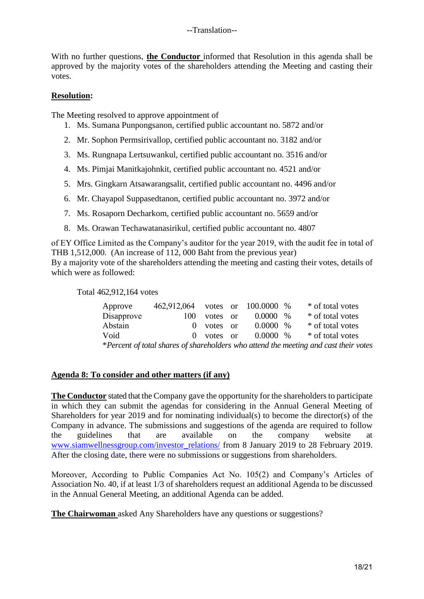#### --Translation--

With no further questions, **the Conductor** informed that Resolution in this agenda shall be approved by the majority votes of the shareholders attending the Meeting and casting their votes.

#### **Resolution:**

The Meeting resolved to approve appointment of

- 1. Ms. Sumana Punpongsanon, certified public accountant no. 5872 and/or
- 2. Mr. Sophon Permsirivallop, certified public accountant no. 3182 and/or
- 3. Ms. Rungnapa Lertsuwankul, certified public accountant no. 3516 and/or
- 4. Ms. Pimjai Manitkajohnkit, certified public accountant no. 4521 and/or
- 5. Mrs. Gingkarn Atsawarangsalit, certified public accountant no. 4496 and/or
- 6. Mr. Chayapol Suppasedtanon, certified public accountant no. 3972 and/or
- 7. Ms. Rosaporn Decharkom, certified public accountant no. 5659 and/or
- 8. Ms. Orawan Techawatanasirikul, certified public accountant no. 4807

of EY Office Limited as the Company's auditor for the year 2019, with the audit fee in total of THB 1,512,000. (An increase of 112, 000 Baht from the previous year) By a majority vote of the shareholders attending the meeting and casting their votes, details of which were as followed:

Total 462,912,164 votes

| Approve                                                                              | 462,912,064 votes or 100.0000 % |          |  |             |      | * of total votes |
|--------------------------------------------------------------------------------------|---------------------------------|----------|--|-------------|------|------------------|
| Disapprove                                                                           | 100                             | votes or |  | 0.0000      | $\%$ | * of total votes |
| Abstain                                                                              | $\mathbf{O}$                    | votes or |  | $0.0000~\%$ |      | * of total votes |
| Void                                                                                 | $\left( \right)$                | votes or |  | $0.0000\%$  |      | * of total votes |
| *Percent of total shares of shareholders who attend the meeting and cast their votes |                                 |          |  |             |      |                  |

#### **Agenda 8: To consider and other matters (if any)**

**The Conductor** stated that the Company gave the opportunity for the shareholders to participate in which they can submit the agendas for considering in the Annual General Meeting of Shareholders for year 2019 and for nominating individual(s) to become the director(s) of the Company in advance. The submissions and suggestions of the agenda are required to follow the guidelines that are available on the company website at [www.siamwellnessgroup.com/investor\\_relations/](http://www.siamwellnessgroup.com/investor_relations/) from 8 January 2019 to 28 February 2019. After the closing date, there were no submissions or suggestions from shareholders.

Moreover, According to Public Companies Act No. 105(2) and Company's Articles of Association No. 40, if at least 1/3 of shareholders request an additional Agenda to be discussed in the Annual General Meeting, an additional Agenda can be added.

**The Chairwoman** asked Any Shareholders have any questions or suggestions?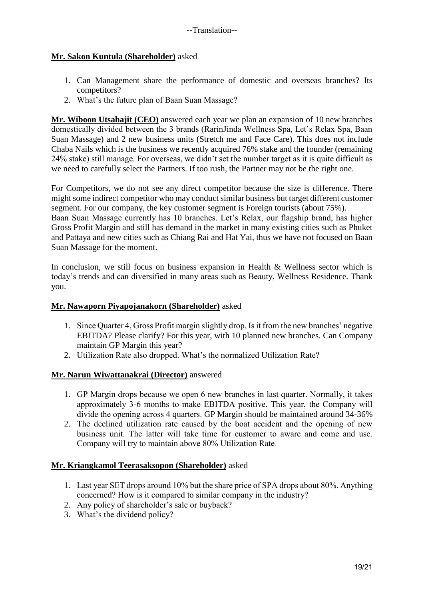# **Mr. Sakon Kuntula (Shareholder)** asked

- 1. Can Management share the performance of domestic and overseas branches? Its competitors?
- 2. What's the future plan of Baan Suan Massage?

**Mr. Wiboon Utsahajit (CEO)** answered each year we plan an expansion of 10 new branches domestically divided between the 3 brands (RarinJinda Wellness Spa, Let's Relax Spa, Baan Suan Massage) and 2 new business units (Stretch me and Face Care). This does not include Chaba Nails which is the business we recently acquired 76% stake and the founder (remaining 24% stake) still manage. For overseas, we didn't set the number target as it is quite difficult as we need to carefully select the Partners. If too rush, the Partner may not be the right one.

For Competitors, we do not see any direct competitor because the size is difference. There might some indirect competitor who may conduct similar business but target different customer segment. For our company, the key customer segment is Foreign tourists (about 75%).

Baan Suan Massage currently has 10 branches. Let's Relax, our flagship brand, has higher Gross Profit Margin and still has demand in the market in many existing cities such as Phuket and Pattaya and new cities such as Chiang Rai and Hat Yai, thus we have not focused on Baan Suan Massage for the moment.

In conclusion, we still focus on business expansion in Health & Wellness sector which is today's trends and can diversified in many areas such as Beauty, Wellness Residence. Thank you.

## **Mr. Nawaporn Piyapojanakorn (Shareholder)** asked

- 1. Since Quarter 4, Gross Profit margin slightly drop. Is it from the new branches' negative EBITDA? Please clarify? For this year, with 10 planned new branches. Can Company maintain GP Margin this year?
- 2. Utilization Rate also dropped. What's the normalized Utilization Rate?

## **Mr. Narun Wiwattanakrai (Director)** answered

- 1. GP Margin drops because we open 6 new branches in last quarter. Normally, it takes approximately 3-6 months to make EBITDA positive. This year, the Company will divide the opening across 4 quarters. GP Margin should be maintained around 34-36%
- 2. The declined utilization rate caused by the boat accident and the opening of new business unit. The latter will take time for customer to aware and come and use. Company will try to maintain above 80% Utilization Rate.

## **Mr. Kriangkamol Teerasaksopon (Shareholder)** asked

- 1. Last year SET drops around 10% but the share price of SPA drops about 80%. Anything concerned? How is it compared to similar company in the industry?
- 2. Any policy of shareholder's sale or buyback?
- 3. What's the dividend policy?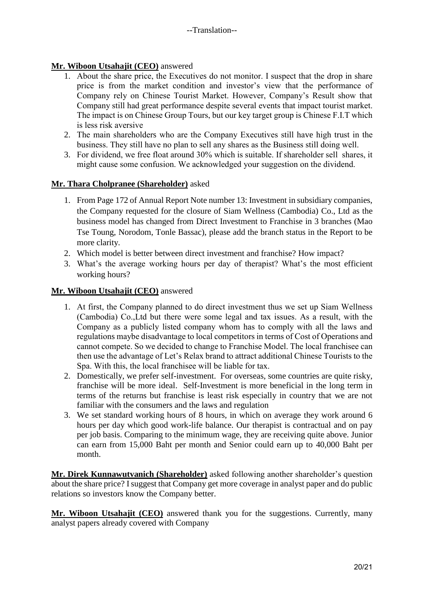# **Mr. Wiboon Utsahajit (CEO)** answered

- 1. About the share price, the Executives do not monitor. I suspect that the drop in share price is from the market condition and investor's view that the performance of Company rely on Chinese Tourist Market. However, Company's Result show that Company still had great performance despite several events that impact tourist market. The impact is on Chinese Group Tours, but our key target group is Chinese F.I.T which is less risk aversive
- 2. The main shareholders who are the Company Executives still have high trust in the business. They still have no plan to sell any shares as the Business still doing well.
- 3. For dividend, we free float around 30% which is suitable. If shareholder sell shares, it might cause some confusion. We acknowledged your suggestion on the dividend.

# **Mr. Thara Cholpranee (Shareholder)** asked

- 1. From Page 172 of Annual Report Note number 13: Investment in subsidiary companies, the Company requested for the closure of Siam Wellness (Cambodia) Co., Ltd as the business model has changed from Direct Investment to Franchise in 3 branches (Mao Tse Toung, Norodom, Tonle Bassac), please add the branch status in the Report to be more clarity.
- 2. Which model is better between direct investment and franchise? How impact?
- 3. What's the average working hours per day of therapist? What's the most efficient working hours?

# **Mr. Wiboon Utsahajit (CEO)** answered

- 1. At first, the Company planned to do direct investment thus we set up Siam Wellness (Cambodia) Co.,Ltd but there were some legal and tax issues. As a result, with the Company as a publicly listed company whom has to comply with all the laws and regulations maybe disadvantage to local competitors in terms of Cost of Operations and cannot compete. So we decided to change to Franchise Model. The local franchisee can then use the advantage of Let's Relax brand to attract additional Chinese Tourists to the Spa. With this, the local franchisee will be liable for tax.
- 2. Domestically, we prefer self-investment. For overseas, some countries are quite risky, franchise will be more ideal. Self-Investment is more beneficial in the long term in terms of the returns but franchise is least risk especially in country that we are not familiar with the consumers and the laws and regulation
- 3. We set standard working hours of 8 hours, in which on average they work around 6 hours per day which good work-life balance. Our therapist is contractual and on pay per job basis. Comparing to the minimum wage, they are receiving quite above. Junior can earn from 15,000 Baht per month and Senior could earn up to 40,000 Baht per month.

**Mr. Direk Kunnawutvanich (Shareholder)** asked following another shareholder's question about the share price? I suggest that Company get more coverage in analyst paper and do public relations so investors know the Company better.

**Mr. Wiboon Utsahajit (CEO)** answered thank you for the suggestions. Currently, many analyst papers already covered with Company